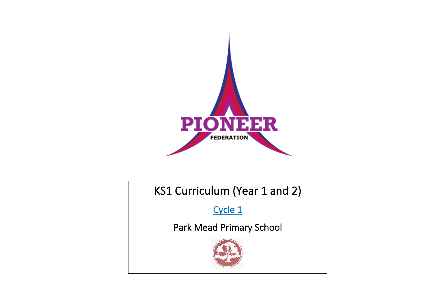

## KS1 Curriculum (Year 1 and 2)

Cycle 1

Park Mead Primary School

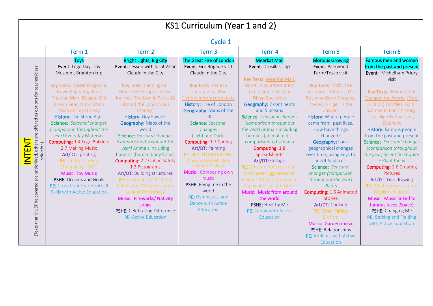| KS1 Curriculum (Year 1 and 2)                                                                                                                                                                                                                                                                                                                                                                                                                                                                                                                                                                            |                                                                                                                                                                                                                                                                                                                                                                                                                                                                                                                                                                                                                                                                                                |                                                                                                                                                                                                                                                                                                                                                                                                                                                                                                                                      |                                                                                                                                                                                                                                                                                                                                                                                                                                                                                                                                                                                                                                          |                                                                                                                                                                                                                                                                                                                                                                                                                                                                                                                                                                                                                                     |                                                                                                                                                                                                                                                                                                                                                                                                                                                                                                                                                                                                                                                                                       |  |  |  |  |
|----------------------------------------------------------------------------------------------------------------------------------------------------------------------------------------------------------------------------------------------------------------------------------------------------------------------------------------------------------------------------------------------------------------------------------------------------------------------------------------------------------------------------------------------------------------------------------------------------------|------------------------------------------------------------------------------------------------------------------------------------------------------------------------------------------------------------------------------------------------------------------------------------------------------------------------------------------------------------------------------------------------------------------------------------------------------------------------------------------------------------------------------------------------------------------------------------------------------------------------------------------------------------------------------------------------|--------------------------------------------------------------------------------------------------------------------------------------------------------------------------------------------------------------------------------------------------------------------------------------------------------------------------------------------------------------------------------------------------------------------------------------------------------------------------------------------------------------------------------------|------------------------------------------------------------------------------------------------------------------------------------------------------------------------------------------------------------------------------------------------------------------------------------------------------------------------------------------------------------------------------------------------------------------------------------------------------------------------------------------------------------------------------------------------------------------------------------------------------------------------------------------|-------------------------------------------------------------------------------------------------------------------------------------------------------------------------------------------------------------------------------------------------------------------------------------------------------------------------------------------------------------------------------------------------------------------------------------------------------------------------------------------------------------------------------------------------------------------------------------------------------------------------------------|---------------------------------------------------------------------------------------------------------------------------------------------------------------------------------------------------------------------------------------------------------------------------------------------------------------------------------------------------------------------------------------------------------------------------------------------------------------------------------------------------------------------------------------------------------------------------------------------------------------------------------------------------------------------------------------|--|--|--|--|
| Cycle 1                                                                                                                                                                                                                                                                                                                                                                                                                                                                                                                                                                                                  |                                                                                                                                                                                                                                                                                                                                                                                                                                                                                                                                                                                                                                                                                                |                                                                                                                                                                                                                                                                                                                                                                                                                                                                                                                                      |                                                                                                                                                                                                                                                                                                                                                                                                                                                                                                                                                                                                                                          |                                                                                                                                                                                                                                                                                                                                                                                                                                                                                                                                                                                                                                     |                                                                                                                                                                                                                                                                                                                                                                                                                                                                                                                                                                                                                                                                                       |  |  |  |  |
| Term 1                                                                                                                                                                                                                                                                                                                                                                                                                                                                                                                                                                                                   | Term 2                                                                                                                                                                                                                                                                                                                                                                                                                                                                                                                                                                                                                                                                                         | Term <sub>3</sub>                                                                                                                                                                                                                                                                                                                                                                                                                                                                                                                    | Term 4                                                                                                                                                                                                                                                                                                                                                                                                                                                                                                                                                                                                                                   | Term <sub>5</sub>                                                                                                                                                                                                                                                                                                                                                                                                                                                                                                                                                                                                                   | Term 6                                                                                                                                                                                                                                                                                                                                                                                                                                                                                                                                                                                                                                                                                |  |  |  |  |
| <b>Toys</b><br>Event: Lego Day, Toy<br>Museum, Brighton trip<br>Key Texts: Mister Magnolia,<br>Brown Paper Bag Bear,<br>Traction Man, Dogger, Old<br>Brown Bear, Non-Fiction<br><b>Texts on Toy History</b><br><b>History: The Stone Ages</b><br>Science: Seasonal changes<br>(comparison throughout the<br>year) Everyday Materials<br><b>Computing: 1.4 Lego Builders</b><br>2.7 Making Music<br>Art/DT: printing<br><b>RE: Understanding</b><br>Christianity - GOD<br><b>Music: Toy Music</b><br><b>PSHE: Dreams and Goals</b><br>PE: Cross Country + Football<br><b>Skills with Active Education</b> | <b>Bright Lights, Big City</b><br>Event: Lesson with local Vicar<br>Claude in the City<br>Key Texts: Paddington,<br>Where the Poppies Grow,<br>Journey, The Lion in Paris, All<br>Aboard the London Bus<br>(Poetry)<br><b>History: Guy Fawkes</b><br><b>Geography: Maps of the</b><br>world<br><b>Science:</b> Seasonal changes<br>(comparison throughout the<br>year) Animals including<br>humans (human body focus)<br><b>Computing: 2.2 Online Safety</b><br>1.3 Pictograms<br>Art/DT: Building structures<br>RE: How is Jesus' Birthday<br>Celebrated? Why are carols<br>sung at Christmas?<br>Music: Fireworks/ Nativity<br>songs<br>PSHE: Celebrating Difference<br>PE: Active Education | The Great Fire of London<br>Event: Fire Brigade visit<br>Claude in the City<br>Key Texts: Katie in<br>London, Vlad, Non-<br>Fiction: Information texts<br>History: Fire of London<br>Geography: Maps of the<br><b>UK</b><br>Science: Seasonal<br>Changes<br>(Light and Dark)<br>Computing: 1.7 Coding<br>Art/DT: Painting<br><b>RE: RE: OTHER FAITHS:</b><br>Why do Jewish children<br>celebrate Shabbat?<br>Music: Composing own<br>music<br>PSHE: Being me in the<br>world<br>PE: Gymnastics and<br>Dance with Active<br>Education | <b>Meerkat Mail</b><br>Event: Drusillas Trip<br>Key Texts: MeerKat Mail,<br>Non-Fiction information<br>text, digital texts (San<br>Diego Zoo, Kids)<br><b>Geography: 7 continents</b><br>and 5 oceans<br>Science: Seasonal changes<br>(comparison throughout<br>the year) Animals including<br>humans (animal focus,<br>comparison to humans)<br>Computing: 1.8<br>Spreadsheets<br>Art/DT: Collage<br><b>RE:</b> Why are hot cross buns<br>and Easter Eggs eaten at<br>Easter? Why are Christians<br>happy and sad at Easter?<br>Music: Music from around<br>the world<br>PSHE: Healthy Me<br><b>PE:</b> Tennis with Active<br>Education | <b>Glorious Growing</b><br>Event: Parkwood<br>Farm/Tesco visit<br>Key Texts: Titch, The<br>Enormous Potato, , The<br>Boy who Grew Dragons,<br>There's a Tiger in the<br>Garden.<br>History: Where people<br>came from, past lives.<br>How have things<br>changed?<br>Geography: Local<br>geographical changes<br>over time; using keys to<br>identify places<br>Science: Seasonal<br>changes (comparison<br>throughout the year)<br>Plants<br>Computing: 1.6 Animated<br><b>Stories</b><br>Art/DT: Cooking<br><b>RE: Other Faiths:</b><br>Sikhism<br>Music: Garden music<br>PSHE: Relationships<br><b>PE:</b> Athletics with Active | <b>Famous men and women</b><br>from the past and present<br>Event: Michelham Priory<br>visit<br>Key Texts: Women that<br>Changed the World, (Non-<br>Fiction) Factfiles, Bold<br>women in Baclk history,<br>The Slightly Annoying<br>Elephant<br><b>History: Famous people</b><br>from the past and present<br>Science: Seasonal changes<br>(comparison throughout<br>the year) Scientific Enquiry<br>- Plant focus<br><b>Computing: 2.6 Creating</b><br><b>Pictures</b><br>Art/DT: Line drawing<br><b>RE:</b> What is important for<br>Muslim children?<br>Music: Music linked to<br>famous faces (Space)<br>PSHE: Changing Me<br>PE: Striking and Fielding<br>with Active Education |  |  |  |  |
|                                                                                                                                                                                                                                                                                                                                                                                                                                                                                                                                                                                                          |                                                                                                                                                                                                                                                                                                                                                                                                                                                                                                                                                                                                                                                                                                |                                                                                                                                                                                                                                                                                                                                                                                                                                                                                                                                      |                                                                                                                                                                                                                                                                                                                                                                                                                                                                                                                                                                                                                                          |                                                                                                                                                                                                                                                                                                                                                                                                                                                                                                                                                                                                                                     | Education                                                                                                                                                                                                                                                                                                                                                                                                                                                                                                                                                                                                                                                                             |  |  |  |  |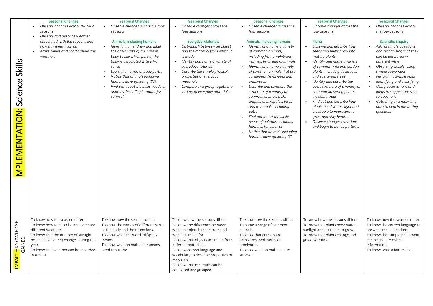| Skills<br>Science<br><b>MPLEMENTATION:</b> | <b>Seasonal Changes</b><br>Observe changes across the four<br>seasons<br>Observe and describe weather<br>associated with the seasons and<br>how day length varies.<br>Make tables and charts about the<br>weather.<br>To know how the seasons differ. | <b>Seasonal Changes</b><br>Observe changes across the four<br>$\bullet$<br>seasons<br>Animals, including humans<br>Identify, name, draw and label<br>$\bullet$<br>the basic parts of the human<br>body to say which part of the<br>body is associated with which<br>sense<br>Learn the names of body parts.<br>$\bullet$<br>Notice that animals including<br>humans have offspring (Y2)<br>Find out about the basic needs of<br>animals, including humans, for<br>survival<br>To know how the seasons differ. | <b>Seasonal Changes</b><br>Observe changes across the<br>four seasons<br><b>Everyday Materials</b><br>Distinguish between an object<br>$\bullet$<br>and the material from which it<br>is made<br>Identify and name a variety of<br>$\bullet$<br>everyday materials<br>Describe the simple physical<br>properties of everyday<br>materials<br>Compare and group together a<br>$\bullet$<br>variety of everyday materials.<br>To know how the seasons differ. | <b>Seasonal Changes</b><br>Observe changes across the<br>four seasons<br>Animals, including humans<br>Identify and name a variety<br>of common animals,<br>including fish, amphibians,<br>reptiles, birds and mammals<br>Identify and name a variety<br>of common animals that are<br>carnivores, herbivores and<br>omnivores<br>Describe and compare the<br>structure of a variety of<br>common animals (fish,<br>amphibians, reptiles, birds<br>and mammals, including<br>pets)<br>Find out about the basic<br>needs of animals, including<br>humans, for survival<br>Notice that animals including<br>humans have offspring (Y2<br>To know how the seasons differ. | <b>Seasonal Changes</b><br>Observe changes across the<br>$\bullet$<br>four seasons<br><b>Plants</b><br>Observe and describe how<br>$\bullet$<br>seeds and bulbs grow into<br>mature plants<br>identify and name a variety<br>$\bullet$<br>of common wild and garden<br>plants, including deciduous<br>and evergreen trees<br>Identify and describe the<br>basic structure of a variety of<br>common flowering plants,<br>including trees.<br>Find out and describe how<br>$\bullet$<br>plants need water, light and<br>a suitable temperature to<br>grow and stay healthy<br>Observe changes over time<br>$\bullet$<br>and begin to notice patterns<br>To know how the seasons differ. | <b>Seasonal Changes</b><br>Observe changes across<br>$\bullet$<br>the four seasons<br><b>Scientific Enquiry</b><br>Asking simple questions<br>$\bullet$<br>and recognising that they<br>can be answered in<br>different ways<br>Observing closely, using<br>$\bullet$<br>simple equipment<br>Performing simple tests<br>Identifying and classifying<br>$\bullet$<br>Using observations and<br>$\bullet$<br>ideas to suggest answers<br>to questions<br>Gathering and recording<br>$\bullet$<br>data to help in answering<br>questions<br>To know how the seasons differ. |
|--------------------------------------------|-------------------------------------------------------------------------------------------------------------------------------------------------------------------------------------------------------------------------------------------------------|---------------------------------------------------------------------------------------------------------------------------------------------------------------------------------------------------------------------------------------------------------------------------------------------------------------------------------------------------------------------------------------------------------------------------------------------------------------------------------------------------------------|-------------------------------------------------------------------------------------------------------------------------------------------------------------------------------------------------------------------------------------------------------------------------------------------------------------------------------------------------------------------------------------------------------------------------------------------------------------|-----------------------------------------------------------------------------------------------------------------------------------------------------------------------------------------------------------------------------------------------------------------------------------------------------------------------------------------------------------------------------------------------------------------------------------------------------------------------------------------------------------------------------------------------------------------------------------------------------------------------------------------------------------------------|----------------------------------------------------------------------------------------------------------------------------------------------------------------------------------------------------------------------------------------------------------------------------------------------------------------------------------------------------------------------------------------------------------------------------------------------------------------------------------------------------------------------------------------------------------------------------------------------------------------------------------------------------------------------------------------|--------------------------------------------------------------------------------------------------------------------------------------------------------------------------------------------------------------------------------------------------------------------------------------------------------------------------------------------------------------------------------------------------------------------------------------------------------------------------------------------------------------------------------------------------------------------------|
| IMPACT – KNOWLEDGE<br>GAINED               | To know how to describe and compare<br>different weathers.<br>To know that the number of sunlight<br>hours (i.e. daytime) changes during the<br>vear.<br>To know that weather can be recorded<br>in a chart.                                          | To know the names of different parts<br>of the body and their functions.<br>To know what the word 'offspring'<br>means.<br>To know what animals and humans<br>need to survive.                                                                                                                                                                                                                                                                                                                                | To know the difference between<br>what an object is made from and<br>what it is made for.<br>To know that objects are made from<br>different materials.<br>To know correct language and<br>vocabulary to describe properties of<br>materials.<br>To know that materials can be<br>compared and grouped.                                                                                                                                                     | To name a range of common<br>animals.<br>To know that animals are<br>carnivores, herbivores or<br>omnivores.<br>To know what animals need to<br>survive.                                                                                                                                                                                                                                                                                                                                                                                                                                                                                                              | To know that plants need water,<br>sunlight and nutrients to grow.<br>To know that plants change and<br>grow over time.                                                                                                                                                                                                                                                                                                                                                                                                                                                                                                                                                                | To know the correct language to<br>answer simple questions.<br>To know that simple equipment<br>can be used to collect<br>information.<br>To know what a fair test is.                                                                                                                                                                                                                                                                                                                                                                                                   |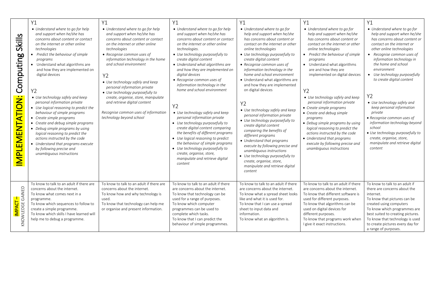|                                                                 | Y1                                                                                                                                                                                                                                                                                                                                                                                                                                                                                                                                                                                                                                                                                                                              | Y1                                                                                                                                                                                                                                                                                                                                                                                                                                                                                                                     | Y1                                                                                                                                                                                                                                                                                                                                                                                                                                                                                                                                                                                                                                                                                                                                                                                                          | Y1                                                                                                                                                                                                                                                                                                                                                                                                                                                                                                                                                                                                                                                                                                                                                                                                                    | Y1                                                                                                                                                                                                                                                                                                                                                                                                                                                                                                                                                                                                                                                                     | <b>Y1</b>                                                                                                                                                                                                                                                                                                                                                                                                                                                                                                                                                                                   |
|-----------------------------------------------------------------|---------------------------------------------------------------------------------------------------------------------------------------------------------------------------------------------------------------------------------------------------------------------------------------------------------------------------------------------------------------------------------------------------------------------------------------------------------------------------------------------------------------------------------------------------------------------------------------------------------------------------------------------------------------------------------------------------------------------------------|------------------------------------------------------------------------------------------------------------------------------------------------------------------------------------------------------------------------------------------------------------------------------------------------------------------------------------------------------------------------------------------------------------------------------------------------------------------------------------------------------------------------|-------------------------------------------------------------------------------------------------------------------------------------------------------------------------------------------------------------------------------------------------------------------------------------------------------------------------------------------------------------------------------------------------------------------------------------------------------------------------------------------------------------------------------------------------------------------------------------------------------------------------------------------------------------------------------------------------------------------------------------------------------------------------------------------------------------|-----------------------------------------------------------------------------------------------------------------------------------------------------------------------------------------------------------------------------------------------------------------------------------------------------------------------------------------------------------------------------------------------------------------------------------------------------------------------------------------------------------------------------------------------------------------------------------------------------------------------------------------------------------------------------------------------------------------------------------------------------------------------------------------------------------------------|------------------------------------------------------------------------------------------------------------------------------------------------------------------------------------------------------------------------------------------------------------------------------------------------------------------------------------------------------------------------------------------------------------------------------------------------------------------------------------------------------------------------------------------------------------------------------------------------------------------------------------------------------------------------|---------------------------------------------------------------------------------------------------------------------------------------------------------------------------------------------------------------------------------------------------------------------------------------------------------------------------------------------------------------------------------------------------------------------------------------------------------------------------------------------------------------------------------------------------------------------------------------------|
| Skills<br>Computing<br>PLEMENTATION:<br>$\overline{\mathsf{S}}$ | • Understand where to go for help<br>and support when he/she has<br>concerns about content or contact<br>on the internet or other online<br>technologies<br>Predict the behaviour of simple<br>programs<br>• Understand what algorithms are<br>and how they are implemented on<br>digital devices<br>Y2<br>• Use technology safely and keep<br>personal information private<br>• Use logical reasoning to predict the<br>behaviour of simple programs<br>• Create simple programs<br>• Create and debug simple programs<br>• Debug simple programs by using<br>logical reasoning to predict the<br>actions instructed by the code<br>• Understand that programs execute<br>by following precise and<br>unambiguous instructions | • Understand where to go for help<br>and support when he/she has<br>concerns about content or contact<br>on the internet or other online<br>technologies<br>• Recognise common uses of<br>information technology in the home<br>and school environment<br><b>Y2</b><br>• Use technology safely and keep<br>personal information private<br>• Use technology purposefully to<br>create, organise, store, manipulate<br>and retrieve digital content<br>Recognise common uses of information<br>technology beyond school | • Understand where to go for help<br>and support when he/she has<br>concerns about content or contact<br>on the internet or other online<br>technologies.<br>• Use technology purposefully to<br>create digital content<br>• Understand what algorithms are<br>and how they are implemented on<br>digital devices<br>• Recognise common uses of<br>information technology in the<br>home and school environment<br>Y <sub>2</sub><br>• Use technology safely and keep<br>personal information private<br>• Use technology purposefully to<br>create digital content comparing<br>the benefits of different programs<br>• Use logical reasoning to predict<br>the behaviour of simple programs<br>• Use technology purposefully to<br>create, organise, store,<br>manipulate and retrieve digital<br>content | • Understand where to go for<br>help and support when he/she<br>has concerns about content or<br>contact on the internet or other<br>online technologies<br>• Use technology purposefully to<br>create digital content<br>• Recognise common uses of<br>information technology in the<br>home and school environment<br>• Understand what algorithms are<br>and how they are implemented<br>on digital devices<br>Y2<br>• Use technology safely and keep<br>personal information private<br>• Use technology purposefully to<br>create digital content<br>comparing the benefits of<br>different programs<br>• Understand that programs<br>execute by following precise and<br>unambiquous instructions<br>• Use technology purposefully to<br>create, organise, store,<br>manipulate and retrieve digital<br>content | • Understand where to go for<br>help and support when he/she<br>has concerns about content or<br>contact on the internet or other<br>online technologies<br>• Predict the behaviour of simple<br>programs<br>• Understand what algorithms<br>are and how they are<br>implemented on digital devices<br>Y <sub>2</sub><br>• Use technology safely and keep<br>personal information private<br>• Create simple programs<br>• Create and debug simple<br>programs<br>• Debug simple programs by using<br>logical reasoning to predict the<br>actions instructed by the code<br>• Understand that programs<br>execute by following precise and<br>unambiguous instructions | • Understand where to go for<br>help and support when he/she<br>has concerns about content or<br>contact on the internet or<br>other online technologies<br>• Recognise common uses of<br>information technology in<br>the home and school<br>environment<br>• Use technology purposefully<br>to create digital content<br>Y2<br>• Use technology safely and<br>keep personal information<br>private<br>• Recognise common uses of<br>information technology beyond<br>school<br>· Use technology purposefully to<br>create, organise, store,<br>manipulate and retrieve digital<br>content |
| <mark>IMPACT –</mark><br>KNOWLEDGE GAINED                       | To know to talk to an adult if there are<br>concerns about the internet.<br>To know what comes next in a<br>programme.<br>To know which sequences to follow to<br>create a simple programme.<br>To know which skills I have learned will<br>help me to debug a programme.                                                                                                                                                                                                                                                                                                                                                                                                                                                       | To know to talk to an adult if there are<br>concerns about the internet.<br>To know how and why technology is<br>used.<br>To know that technology can help me<br>or organise and present information.                                                                                                                                                                                                                                                                                                                  | To know to talk to an adult if there<br>are concerns about the internet.<br>To know that technology can be<br>used for a range of purposes.<br>To know which computer<br>programmes can be used to<br>complete which tasks.<br>To know that I can predict the<br>behaviour of simple programmes.                                                                                                                                                                                                                                                                                                                                                                                                                                                                                                            | To know to talk to an adult if there<br>are concerns about the internet.<br>To know what a spread sheet looks<br>like and what it is used for.<br>To know that I can use a spread<br>sheet to input data and<br>information.<br>To know what an algorithm is.                                                                                                                                                                                                                                                                                                                                                                                                                                                                                                                                                         | To know to talk to an adult if there<br>are concerns about the internet.<br>To know that different software is<br>used for different purposes.<br>To know that algorithms can be<br>used on digital devices for<br>different purposes.<br>To know that programs work when<br>I give it exact instructions.                                                                                                                                                                                                                                                                                                                                                             | To know to talk to an adult if<br>there are concerns about the<br>internet.<br>To know that pictures can be<br>created using computers<br>To know which programmes are<br>best suited to creating pictures.<br>To know that technology is used<br>to create pictures every day for<br>a range of purposes.                                                                                                                                                                                                                                                                                  |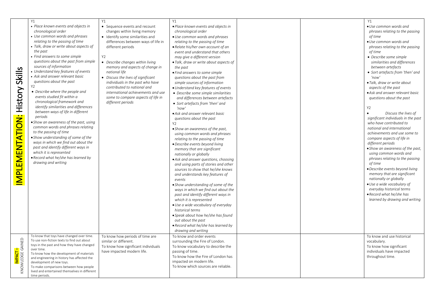| Skills<br>History<br>IMPLEMENTATION:       | Y1<br>• Place known events and objects in<br>chronological order<br>• Use common words and phrases<br>relating to the passing of time<br>· Talk, draw or write about aspects of<br>the past<br>• Find answers to some simple<br>questions about the past from simple<br>sources of information<br>• Understand key features of events<br>• Ask and answer relevant basic<br>questions about the past<br>Y <sub>2</sub><br>• Describe where the people and<br>events studied fit within a<br>chronological framework and<br>identify similarities and differences<br>between ways of life in different<br>periods<br>• Show an awareness of the past, using<br>common words and phrases relating<br>to the passing of time<br>• Show understanding of some of the<br>ways in which we find out about the<br>past and identify different ways in<br>which it is represented<br>• Record what he/she has learned by<br>drawing and writing | Y1<br>• Sequence events and recount<br>changes within living memory<br>• Identify some similarities and<br>differences between ways of life in<br>different periods<br>Y2<br>• Describe changes within living<br>memory and aspects of change in<br>national life<br>• Discuss the lives of significant<br>individuals in the past who have<br>contributed to national and<br>international achievements and use<br>some to compare aspects of life in<br>different periods | Y1<br>· Place known events and objects in<br>chronological order<br>• Use common words and phrases<br>relating to the passing of time<br>• Relate his/her own account of an<br>event and understand that others<br>may give a different version<br>• Talk, draw or write about aspects of<br>the past<br>• Find answers to some simple<br>questions about the past from<br>simple sources of information<br>• Understand key features of events<br>• Describe some simple similarities<br>and differences between artefacts<br>• Sort artefacts from 'then' and<br>'now'<br>• Ask and answer relevant basic<br>questions about the past<br>Y2<br>• Show an awareness of the past,<br>using common words and phrases<br>relating to the passing of time<br>· Describe events beyond living<br>memory that are significant<br>nationally or globally<br>• Ask and answer questions, choosing<br>and using parts of stories and other<br>sources to show that he/she knows<br>and understands key features of<br>events<br>• Show understanding of some of the<br>ways in which we find out about the<br>past and identify different ways in<br>which it is represented<br>· Use a wide vocabulary of everyday<br>historical terms<br>• Speak about how he/she has found<br>out about the past<br>• Record what he/she has learned by<br>drawing and writing |  | Y1<br>· Use common words and<br>phrases relating to the passing<br>of time<br>• Use common words and<br>phrases relating to the passing<br>of time<br>• Describe some simple<br>similarities and differences<br>between artefacts<br>• Sort artefacts from 'then' and<br>'now'<br>· Talk, draw or write about<br>aspects of the past<br>• Ask and answer relevant basic<br>questions about the past<br><b>Y2</b><br>Discuss the lives of<br>significant individuals in the past<br>who have contributed to<br>national and international<br>achievements and use some to<br>compare aspects of life in<br>different periods<br>• Show an awareness of the past,<br>using common words and<br>phrases relating to the passing<br>of time<br>· Describe events beyond living<br>memory that are significant<br>nationally or globally<br>· Use a wide vocabulary of<br>everyday historical terms<br>• Record what he/she has<br>learned by drawing and writing |
|--------------------------------------------|-----------------------------------------------------------------------------------------------------------------------------------------------------------------------------------------------------------------------------------------------------------------------------------------------------------------------------------------------------------------------------------------------------------------------------------------------------------------------------------------------------------------------------------------------------------------------------------------------------------------------------------------------------------------------------------------------------------------------------------------------------------------------------------------------------------------------------------------------------------------------------------------------------------------------------------------|-----------------------------------------------------------------------------------------------------------------------------------------------------------------------------------------------------------------------------------------------------------------------------------------------------------------------------------------------------------------------------------------------------------------------------------------------------------------------------|-----------------------------------------------------------------------------------------------------------------------------------------------------------------------------------------------------------------------------------------------------------------------------------------------------------------------------------------------------------------------------------------------------------------------------------------------------------------------------------------------------------------------------------------------------------------------------------------------------------------------------------------------------------------------------------------------------------------------------------------------------------------------------------------------------------------------------------------------------------------------------------------------------------------------------------------------------------------------------------------------------------------------------------------------------------------------------------------------------------------------------------------------------------------------------------------------------------------------------------------------------------------------------------------------------------------------------------------------------------|--|--------------------------------------------------------------------------------------------------------------------------------------------------------------------------------------------------------------------------------------------------------------------------------------------------------------------------------------------------------------------------------------------------------------------------------------------------------------------------------------------------------------------------------------------------------------------------------------------------------------------------------------------------------------------------------------------------------------------------------------------------------------------------------------------------------------------------------------------------------------------------------------------------------------------------------------------------------------|
| I <mark>mpact –</mark><br>Knowledge Gained | To know that toys have changed over time.<br>To use non-fiction texts to find out about<br>toys in the past and how they have changed<br>over time.<br>To know how the development of materials<br>and engineering in history has affected the<br>development of new toys.<br>To make comparisons between how people<br>lived and entertained themselves in different<br>time periods.                                                                                                                                                                                                                                                                                                                                                                                                                                                                                                                                                  | To know how periods of time are<br>similar or different.<br>To know how significant individuals<br>have impacted modern life.                                                                                                                                                                                                                                                                                                                                               | To know and order events<br>surrounding the Fire of London.<br>To know vocabulary to describe the<br>passing of time.<br>To know how the Fire of London has<br>impacted on modern life.<br>To know which sources are reliable.                                                                                                                                                                                                                                                                                                                                                                                                                                                                                                                                                                                                                                                                                                                                                                                                                                                                                                                                                                                                                                                                                                                            |  | To know and use historical<br>vocabulary.<br>To know how significant<br>individuals have impacted<br>throughout time.                                                                                                                                                                                                                                                                                                                                                                                                                                                                                                                                                                                                                                                                                                                                                                                                                                        |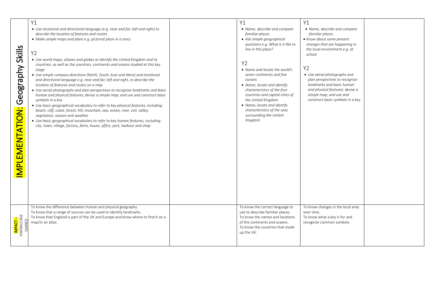| Skills<br>Geography<br>IMPLEMENTATION: | <b>Y1</b><br>• Use locational and directional language (e.g. near and far; left and right) to<br>describe the location of features and routes<br>• Make simple maps and plans e.g. pictorial place in a story<br>Y2<br>• Use world maps, atlases and globes to identify the United Kingdom and its<br>countries, as well as the countries, continents and oceans studied at this key<br>stage<br>• Use simple compass directions (North, South, East and West) and locational<br>and directional language e.g. near and far; left and right, to describe the<br>location of features and routes on a map<br>• Use aerial photographs and plan perspectives to recognise landmarks and basic<br>human and physical features; devise a simple map; and use and construct basic<br>symbols in a key<br>• Use basic geographical vocabulary to refer to key physical features, including:<br>beach, cliff, coast, forest, hill, mountain, sea, ocean, river, soil, valley,<br>vegetation, season and weather<br>• Use basic geographical vocabulary to refer to key human features, including:<br>city, town, village, factory, farm, house, office, port, harbour and shop<br>To know the difference between human and physical geography. | Y1<br>• Name, describe and compare<br>familiar places<br>• Ask simple geographical<br>questions e.g. What is it like to<br>live in this place?<br><b>Y2</b><br>• Name and locate the world's<br>seven continents and five<br>oceans<br>• Name, locate and identify<br>characteristics of the four<br>countries and capital cities of<br>the United Kingdom<br>• Name, locate and identify<br>characteristics of the seas<br>surrounding the United<br>Kingdom<br>To know the correct language to | Y1<br>• Name, describe and compare<br>familiar places<br>• Know about some present<br>changes that are happening in<br>the local environment e.g. at<br>school<br>Y2<br>• Use aerial photographs and<br>plan perspectives to recognise<br>landmarks and basic human<br>and physical features; devise a<br>simple map; and use and<br>construct basic symbols in a key<br>To know changes in the local area |  |
|----------------------------------------|-----------------------------------------------------------------------------------------------------------------------------------------------------------------------------------------------------------------------------------------------------------------------------------------------------------------------------------------------------------------------------------------------------------------------------------------------------------------------------------------------------------------------------------------------------------------------------------------------------------------------------------------------------------------------------------------------------------------------------------------------------------------------------------------------------------------------------------------------------------------------------------------------------------------------------------------------------------------------------------------------------------------------------------------------------------------------------------------------------------------------------------------------------------------------------------------------------------------------------------------|--------------------------------------------------------------------------------------------------------------------------------------------------------------------------------------------------------------------------------------------------------------------------------------------------------------------------------------------------------------------------------------------------------------------------------------------------------------------------------------------------|------------------------------------------------------------------------------------------------------------------------------------------------------------------------------------------------------------------------------------------------------------------------------------------------------------------------------------------------------------------------------------------------------------|--|
| <b>IMPACT –</b><br>KNOWLEDGE<br>GAINED | To know that a range of sources can be used to identify landmarks.<br>To know that England is part of the UK and Europe and know where to find it on a<br>map/in an atlas.                                                                                                                                                                                                                                                                                                                                                                                                                                                                                                                                                                                                                                                                                                                                                                                                                                                                                                                                                                                                                                                              | use to describe familiar places.<br>To know the names and locations<br>of the continents and oceans.<br>To know the countries that made<br>up the UK.                                                                                                                                                                                                                                                                                                                                            | over time.<br>To know what a key is for and<br>recognise common symbols.                                                                                                                                                                                                                                                                                                                                   |  |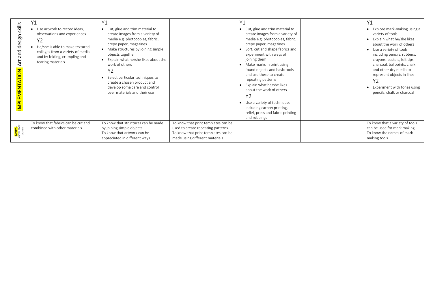| skills<br>and design<br>⋖<br>$\bullet$<br><b>MPLEMENTATION</b> | V <sub>1</sub><br>Use artwork to record ideas,<br>observations and experiences<br>Y2<br>He/she is able to make textured<br>collages from a variety of media<br>and by folding, crumpling and<br>tearing materials | Υ1<br>• Cut, glue and trim material to<br>create images from a variety of<br>media e.g. photocopies, fabric,<br>crepe paper, magazines<br>• Make structures by joining simple<br>objects together<br>Explain what he/she likes about the<br>work of others<br>Y2<br>Select particular techniques to<br>create a chosen product and<br>develop some care and control<br>over materials and their use |                                                                                                                                                     | Y1<br>Cut, glue and trim material to<br>$\bullet$<br>create images from a variety of<br>media e.g. photocopies, fabric,<br>crepe paper, magazines<br>Sort, cut and shape fabrics and<br>experiment with ways of<br>joining them<br>Make marks in print using<br>found objects and basic tools<br>and use these to create<br>repeating patterns<br>Explain what he/she likes<br>$\bullet$<br>about the work of others<br>Y2<br>Use a variety of techniques<br>including carbon printing,<br>relief, press and fabric printing<br>and rubbings | Explore mark-making using a<br>variety of tools<br>Explain what he/she likes<br>$\bullet$<br>about the work of others<br>Use a variety of tools<br>including pencils, rubbers,<br>crayons, pastels, felt tips,<br>charcoal, ballpoints, chalk<br>and other dry media to<br>represent objects in lines<br>Y2<br>Experiment with tones using<br>pencils, chalk or charcoal |
|----------------------------------------------------------------|-------------------------------------------------------------------------------------------------------------------------------------------------------------------------------------------------------------------|-----------------------------------------------------------------------------------------------------------------------------------------------------------------------------------------------------------------------------------------------------------------------------------------------------------------------------------------------------------------------------------------------------|-----------------------------------------------------------------------------------------------------------------------------------------------------|----------------------------------------------------------------------------------------------------------------------------------------------------------------------------------------------------------------------------------------------------------------------------------------------------------------------------------------------------------------------------------------------------------------------------------------------------------------------------------------------------------------------------------------------|--------------------------------------------------------------------------------------------------------------------------------------------------------------------------------------------------------------------------------------------------------------------------------------------------------------------------------------------------------------------------|
| KNOWLIEDGE<br>KNOWLIEDGE<br>GAINED                             | To know that fabrics can be cut and<br>combined with other materials.                                                                                                                                             | To know that structures can be made<br>by joining simple objects.<br>To know that artwork can be<br>appreciated in different ways.                                                                                                                                                                                                                                                                  | To know that print templates can be<br>used to create repeating patterns.<br>To know that print templates can be<br>made using different materials. |                                                                                                                                                                                                                                                                                                                                                                                                                                                                                                                                              | To know that a variety of tools<br>can be used for mark making.<br>To know the names of mark<br>making tools.                                                                                                                                                                                                                                                            |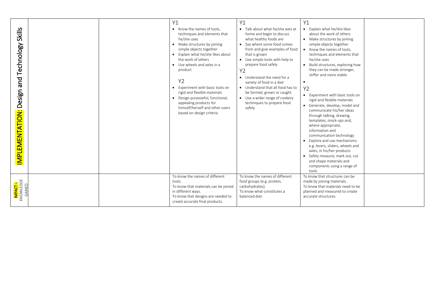| <b>Skills</b><br>Technology<br>pue<br>Design<br><b>MPLEMENTATION:</b> | Y1<br>• Know the names of tools.<br>techniques and elements that<br>he/she uses<br>• Make structures by joining<br>simple objects together<br>• Explain what he/she likes about<br>the work of others<br>• Use wheels and axles in a<br>product<br><b>Y2</b><br>Experiment with basic tools on<br>$\bullet$<br>rigid and flexible materials<br>• Design purposeful, functional,<br>appealing products for<br>himself/herself and other users<br>based on design criteria | Y1<br>• Talk about what he/she eats at<br>home and begin to discuss<br>what healthy foods are<br>Say where some food comes<br>$\bullet$<br>from and give examples of food<br>that is grown<br>• Use simple tools with help to<br>prepare food safely<br>Y2<br>• Understand the need for a<br>variety of food in a diet<br>• Understand that all food has to<br>be farmed, grown or caught<br>• Use a wider range of cookery<br>techniques to prepare food<br>safely | Y1<br>• Explain what he/she likes<br>about the work of others<br>• Make structures by joining<br>simple objects together<br>• Know the names of tools,<br>techniques and elements that<br>he/she uses<br>Build structures, exploring how<br>they can be made stronger,<br>stiffer and more stable<br>Y2<br>Experiment with basic tools on<br>$\bullet$<br>rigid and flexible materials<br>• Generate, develop, model and<br>communicate his/her ideas<br>through talking, drawing,<br>templates, mock-ups and,<br>where appropriate,<br>information and<br>communication technology<br>• Explore and use mechanisms<br>e.g. levers, sliders, wheels and<br>axles, in his/her products<br>• Safely measure, mark out, cut<br>and shape materials and<br>components using a range of<br>tools |  |
|-----------------------------------------------------------------------|--------------------------------------------------------------------------------------------------------------------------------------------------------------------------------------------------------------------------------------------------------------------------------------------------------------------------------------------------------------------------------------------------------------------------------------------------------------------------|---------------------------------------------------------------------------------------------------------------------------------------------------------------------------------------------------------------------------------------------------------------------------------------------------------------------------------------------------------------------------------------------------------------------------------------------------------------------|---------------------------------------------------------------------------------------------------------------------------------------------------------------------------------------------------------------------------------------------------------------------------------------------------------------------------------------------------------------------------------------------------------------------------------------------------------------------------------------------------------------------------------------------------------------------------------------------------------------------------------------------------------------------------------------------------------------------------------------------------------------------------------------------|--|
| <mark>IMPACT –</mark><br>KNOWLEDGE<br>GAINED                          | To know the names of different<br>tools.<br>To know that materials can be joined<br>in different ways.<br>To know that designs are needed to<br>create accurate final products.                                                                                                                                                                                                                                                                                          | To know the names of different<br>food groups (e.g. protein,<br>carbohydrates).<br>To know what constitutes a<br>balanced diet.                                                                                                                                                                                                                                                                                                                                     | To know that structures can be<br>made by joining materials.<br>To know that materials need to be<br>planned and measured to create<br>accurate structures.                                                                                                                                                                                                                                                                                                                                                                                                                                                                                                                                                                                                                                 |  |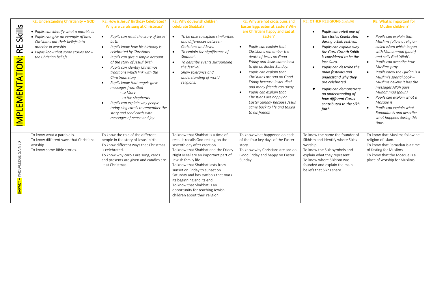| Skills<br>R<br>EMENTATION:<br><u>ا ب</u><br>$\overline{\mathsf{P}}$ | RE: Understanding Christianity - GOD<br>• Pupils can identify what a parable is<br>• Pupils can give an example of how<br>Christians put their beliefs into<br>practice in worship<br>• Pupils know that some stories show<br>the Christian beliefs | RE: How is Jesus' Birthday Celebrated?<br>Why are carols sung at Christmas?<br>Pupils can retell the story of Jesus'<br>$\bullet$<br>birth<br>Pupils know how his birthday is<br>$\bullet$<br>celebrated by Christians<br>Pupils can give a simple account<br>$\bullet$<br>of the story of Jesus' birth<br>Pupils can identify Christmas<br>$\bullet$<br>traditions which link with the<br>Christmas story<br>Pupils know that angels gave<br>messages from God<br>- to Mary<br>- to the shepherds<br>Pupils can explain why people<br>today sing carols to remember the<br>story and send cards with<br>messages of peace and joy | RE: Why do Jewish children<br>celebrate Shabbat?<br>To be able to explain similarities<br>and differences between<br>Christians and Jews.<br>To explain the significance of<br>$\bullet$<br>Shabbat.<br>To describe events surrounding<br>the festival.<br>Show tolerance and<br>understanding of world<br>religions.                                                                                                                               | RE: Why are hot cross buns and<br>Easter Eggs eaten at Easter? Why<br>are Christians happy and sad at<br>Faster?<br>Pupils can explain that<br>$\bullet$<br>Christians remember the<br>death of Jesus on Good<br>Friday and Jesus came back<br>to life on Easter Sunday.<br>Pupils can explain that<br>$\bullet$<br>Christians are sad on Good<br>Friday because Jesus died<br>and many friends ran away<br>Pupils can explain that<br>Christians are happy on<br>Easter Sunday because Jesus<br>came back to life and talked<br>to his friends | <b>RE: OTHER RELIGIONS Sikhism</b><br>Pupils can retell one of<br>$\bullet$<br>the stories Celebrated<br>during a Sikh festival.<br>Pupils can explain why<br>the Guru Granth Sahib<br>is considered to be the<br>last Guru.<br>Pupils can describe the<br>main festivals and<br>understand why they<br>are celebrated.<br>Pupils can demonstrate<br>an understanding of<br>how different Gurus<br>contributed to the Sikh<br>faith. | RE: What is important for<br>Muslim children?<br>Pupils can explain that<br>$\bullet$<br>Muslims follow a religion<br>called Islam which began<br>with Muhammad (pbuh)<br>and calls God 'Allah'.<br>$\bullet$<br>Pupils can describe how<br>Muslims pray<br>$\bullet$<br>Pupils know the Qur'an is a<br>Muslim's special book $-$<br>Muslims believe it has the<br>messages Allah gave<br>Muhammad (pbuh)<br>Pupils can explain what a<br>$\bullet$<br>Mosque is<br>Pupils can explain what<br>$\bullet$<br>Ramadan is and describe<br>what happens during this<br>time. |
|---------------------------------------------------------------------|-----------------------------------------------------------------------------------------------------------------------------------------------------------------------------------------------------------------------------------------------------|------------------------------------------------------------------------------------------------------------------------------------------------------------------------------------------------------------------------------------------------------------------------------------------------------------------------------------------------------------------------------------------------------------------------------------------------------------------------------------------------------------------------------------------------------------------------------------------------------------------------------------|-----------------------------------------------------------------------------------------------------------------------------------------------------------------------------------------------------------------------------------------------------------------------------------------------------------------------------------------------------------------------------------------------------------------------------------------------------|-------------------------------------------------------------------------------------------------------------------------------------------------------------------------------------------------------------------------------------------------------------------------------------------------------------------------------------------------------------------------------------------------------------------------------------------------------------------------------------------------------------------------------------------------|--------------------------------------------------------------------------------------------------------------------------------------------------------------------------------------------------------------------------------------------------------------------------------------------------------------------------------------------------------------------------------------------------------------------------------------|--------------------------------------------------------------------------------------------------------------------------------------------------------------------------------------------------------------------------------------------------------------------------------------------------------------------------------------------------------------------------------------------------------------------------------------------------------------------------------------------------------------------------------------------------------------------------|
| MPACT - KNOWLEDGE GAINED                                            | To know what a parable is.<br>To know different ways that Christians<br>worship.<br>To know some Bible stories.                                                                                                                                     | To know the role of the different<br>people in the story of Jesus' birth.<br>To know different ways that Christmas<br>is celebrated.<br>To know why carols are sung, cards<br>and presents are given and candles are<br>lit at Christmas                                                                                                                                                                                                                                                                                                                                                                                           | To know that Shabbat is a time of<br>rest. It recalls God resting on the<br>seventh day after creation<br>To know that Shabbat and the Friday<br>Night Meal are an important part of<br>Jewish family life<br>To know that Shabbat lasts from<br>sunset on Friday to sunset on<br>Saturday and has symbols that mark<br>its beginning and its end<br>To know that Shabbat is an<br>opportunity for teaching Jewish<br>children about their religion | To know what happened on each<br>of the four key days of the Easter<br>story.<br>To know why Christians are sad on<br>Good Friday and happy on Easter<br>Sunday.                                                                                                                                                                                                                                                                                                                                                                                | To know the name the founder of<br>Sikhism and identify where Sikhs<br>worship.<br>To know the Sikh symbols and<br>explain what they represent.<br>To know where Sikhism was<br>founded and explain the main<br>beliefs that Sikhs share.                                                                                                                                                                                            | To know that Muslims follow he<br>religion of Islam.<br>To know that Ramadan is a time<br>of fasting for Muslims<br>To know that the Mosque is a<br>place of worship for Muslims.                                                                                                                                                                                                                                                                                                                                                                                        |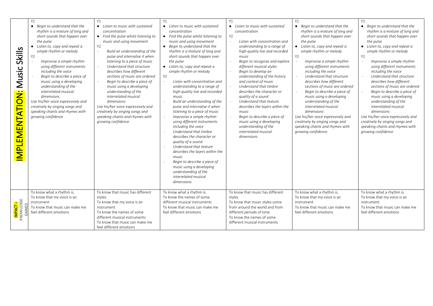|                                                     | <b>Y1</b>                                                                                                                                                                                                                                                                                                                                                                                                                                                                                                                                     | Y1                                                                                                                                                                                                                                                                                                                                                                                                                                                                                                                                                                                                                          | Y1                                                                                                                                                                                                                                                                                                                                                                                                                                                                                                                                                                                                                                                                                                                                                                                                                                                                                                 | Y1                                                                                                                                                                                                                                                                                                                                                                                                                                                                                                                                                                                                    | Y1                                                                                                                                                                                                                                                                                                                                                                                                                                                                                                                                                                                                                                | Y1                                                                                                                                                                                                                                                                                                                                                                                                                                                                                                                                                                                                                         |
|-----------------------------------------------------|-----------------------------------------------------------------------------------------------------------------------------------------------------------------------------------------------------------------------------------------------------------------------------------------------------------------------------------------------------------------------------------------------------------------------------------------------------------------------------------------------------------------------------------------------|-----------------------------------------------------------------------------------------------------------------------------------------------------------------------------------------------------------------------------------------------------------------------------------------------------------------------------------------------------------------------------------------------------------------------------------------------------------------------------------------------------------------------------------------------------------------------------------------------------------------------------|----------------------------------------------------------------------------------------------------------------------------------------------------------------------------------------------------------------------------------------------------------------------------------------------------------------------------------------------------------------------------------------------------------------------------------------------------------------------------------------------------------------------------------------------------------------------------------------------------------------------------------------------------------------------------------------------------------------------------------------------------------------------------------------------------------------------------------------------------------------------------------------------------|-------------------------------------------------------------------------------------------------------------------------------------------------------------------------------------------------------------------------------------------------------------------------------------------------------------------------------------------------------------------------------------------------------------------------------------------------------------------------------------------------------------------------------------------------------------------------------------------------------|-----------------------------------------------------------------------------------------------------------------------------------------------------------------------------------------------------------------------------------------------------------------------------------------------------------------------------------------------------------------------------------------------------------------------------------------------------------------------------------------------------------------------------------------------------------------------------------------------------------------------------------|----------------------------------------------------------------------------------------------------------------------------------------------------------------------------------------------------------------------------------------------------------------------------------------------------------------------------------------------------------------------------------------------------------------------------------------------------------------------------------------------------------------------------------------------------------------------------------------------------------------------------|
| <b>Skills</b><br>usic<br>Σ<br><b>MPLEMENTATION:</b> | • Begin to understand that the<br>rhythm is a mixture of long and<br>short sounds that happen over<br>the pulse<br>• Listen to, copy and repeat a<br>simple rhythm or melody<br>Y <sub>2</sub><br>Improvise a simple rhythm<br>using different instruments<br>including the voice<br>Begin to describe a piece of<br>music using a developing<br>understanding of the<br>interrelated musical<br>dimensions<br>Use his/her voice expressively and<br>creatively by singing songs and<br>speaking chants and rhymes with<br>growing confidence | • Listen to music with sustained<br>concentration<br>• Find the pulse whilst listening to<br>music and using movement<br>Y2<br>Build an understanding of the<br>$\overline{\phantom{a}}$<br>pulse and internalise it when<br>listening to a piece of music<br>Understand that structure<br>$\omega$<br>describes how different<br>sections of music are ordered<br>Begin to describe a piece of<br>music using a developing<br>understanding of the<br>interrelated musical<br>dimensions<br>Use his/her voice expressively and<br>creatively by singing songs and<br>speaking chants and rhymes with<br>growing confidence | • Listen to music with sustained<br>concentration<br>• Find the pulse whilst listening to<br>music and using movement<br>• Begin to understand that the<br>rhythm is a mixture of long and<br>short sounds that happen over<br>the pulse<br>• Listen to, copy and repeat a<br>simple rhythm or melody<br><b>Y2</b><br>Listen with concentration and<br>understanding to a range of<br>high-quality live and recorded<br>music<br>Build an understanding of the<br>pulse and internalise it when<br>listening to a piece of music<br>Improvise a simple rhythm<br>using different instruments<br>including the voice<br>Understand that timbre<br>describes the character or<br>quality of a sound<br>Understand that texture<br>describes the layers within the<br>music<br>Begin to describe a piece of<br>music using a developing<br>understanding of the<br>interrelated musical<br>dimensions | • Listen to music with sustained<br>concentration<br><b>Y2</b><br>Listen with concentration and<br>understanding to a range of<br>high-quality live and recorded<br>music<br>Begin to recognise and explore<br>different musical styles<br>Begin to develop an<br>understanding of the history<br>and context of music<br>Understand that timbre<br>describes the character or<br>quality of a sound<br>Understand that texture<br>describes the layers within the<br>music<br>Begin to describe a piece of<br>music using a developing<br>understanding of the<br>interrelated musical<br>dimensions | • Begin to understand that the<br>rhythm is a mixture of long and<br>short sounds that happen over<br>the pulse<br>• Listen to, copy and repeat a<br>simple rhythm or melody<br><b>Y2</b><br>Improvise a simple rhythm<br>using different instruments<br>including the voice<br>Understand that structure<br>describes how different<br>sections of music are ordered<br>Begin to describe a piece of<br>music using a developing<br>understanding of the<br>interrelated musical<br>dimensions<br>Use his/her voice expressively and<br>creatively by singing songs and<br>speaking chants and rhymes with<br>growing confidence | • Begin to understand that the<br>rhythm is a mixture of long and<br>short sounds that happen over<br>the pulse<br>• Listen to, copy and repeat a<br>simple rhythm or melody<br>Y2<br>Improvise a simple rhythm<br>using different instruments<br>including the voice<br>Understand that structure<br>describes how different<br>sections of music are ordered<br>Begin to describe a piece of<br>music using a developing<br>understanding of the<br>interrelated musical<br>dimensions<br>Use his/her voice expressively and<br>creatively by singing songs and<br>speaking chants and rhymes with<br>growing confidence |
| IMPACT –<br>Knowledge                               | To know what a rhythm is.<br>To know that my voice is an<br>instrument<br>To know that music can make me<br>feel different emotions                                                                                                                                                                                                                                                                                                                                                                                                           | To know that music has different<br>styles<br>To know that my voice is an<br>instrument<br>To know the names of some<br>different musical instruments<br>To know that music can make me<br>feel different emotions                                                                                                                                                                                                                                                                                                                                                                                                          | To know what a rhythm is.<br>To know the names of some<br>different musical instruments<br>To know that music can make me<br>feel different emotions                                                                                                                                                                                                                                                                                                                                                                                                                                                                                                                                                                                                                                                                                                                                               | To know that music has different<br>styles<br>To know that music styles come<br>from around the world and from<br>different periods of time.<br>To know the names of some<br>different musical instruments                                                                                                                                                                                                                                                                                                                                                                                            | To know what a rhythm is.<br>To know that my voice is an<br>instrument<br>To know that music can make me<br>feel different emotions                                                                                                                                                                                                                                                                                                                                                                                                                                                                                               | To know what a rhythm is.<br>To know that my voice is an<br>instrument<br>To know that music can make me<br>feel different emotions                                                                                                                                                                                                                                                                                                                                                                                                                                                                                        |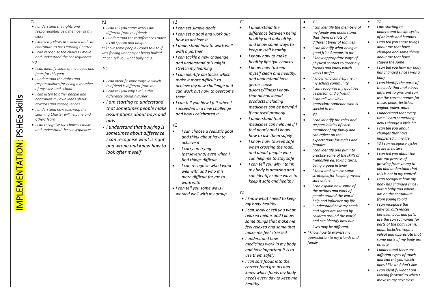|                                          | Y1                                                                                                                                                                                                                                                                                                                                                                                                                                                                                                                                                                                                                                                                                   | Y1                                                                                                                                                                                                                                                                                                                                                                                                                                                                                                                                                                                                                                                                     | Y1                                                                                                                                                                                                                                                                                                                                                                                                                                                                                                                                                                                                                                                                                                                                                                                                         | Y1                           |                                                                                                                                                                                                                                                                                                                                                                                                                                                                                                                                                                                                                                                                                                                                                                                                                                                                                                                                                                                                                                                                                                                                                                     |                        | Y1                                                                                                                                                                                                                                                                                                                                                                                                                                                                                                                                                                                                                                                                                                                                                                                                                                                                                                                                                                                                                                                                                                                                                                                 | $\bullet$                                                                                                                                   | Y1                                                                                                                                                                                                                                                                                                                                                                                                                                                                                                                                                                                                                                                                                                                                                                                                                                                                                                                                                                                                                                                                                                                                                                                                                                                                                                                                                      |
|------------------------------------------|--------------------------------------------------------------------------------------------------------------------------------------------------------------------------------------------------------------------------------------------------------------------------------------------------------------------------------------------------------------------------------------------------------------------------------------------------------------------------------------------------------------------------------------------------------------------------------------------------------------------------------------------------------------------------------------|------------------------------------------------------------------------------------------------------------------------------------------------------------------------------------------------------------------------------------------------------------------------------------------------------------------------------------------------------------------------------------------------------------------------------------------------------------------------------------------------------------------------------------------------------------------------------------------------------------------------------------------------------------------------|------------------------------------------------------------------------------------------------------------------------------------------------------------------------------------------------------------------------------------------------------------------------------------------------------------------------------------------------------------------------------------------------------------------------------------------------------------------------------------------------------------------------------------------------------------------------------------------------------------------------------------------------------------------------------------------------------------------------------------------------------------------------------------------------------------|------------------------------|---------------------------------------------------------------------------------------------------------------------------------------------------------------------------------------------------------------------------------------------------------------------------------------------------------------------------------------------------------------------------------------------------------------------------------------------------------------------------------------------------------------------------------------------------------------------------------------------------------------------------------------------------------------------------------------------------------------------------------------------------------------------------------------------------------------------------------------------------------------------------------------------------------------------------------------------------------------------------------------------------------------------------------------------------------------------------------------------------------------------------------------------------------------------|------------------------|------------------------------------------------------------------------------------------------------------------------------------------------------------------------------------------------------------------------------------------------------------------------------------------------------------------------------------------------------------------------------------------------------------------------------------------------------------------------------------------------------------------------------------------------------------------------------------------------------------------------------------------------------------------------------------------------------------------------------------------------------------------------------------------------------------------------------------------------------------------------------------------------------------------------------------------------------------------------------------------------------------------------------------------------------------------------------------------------------------------------------------------------------------------------------------|---------------------------------------------------------------------------------------------------------------------------------------------|---------------------------------------------------------------------------------------------------------------------------------------------------------------------------------------------------------------------------------------------------------------------------------------------------------------------------------------------------------------------------------------------------------------------------------------------------------------------------------------------------------------------------------------------------------------------------------------------------------------------------------------------------------------------------------------------------------------------------------------------------------------------------------------------------------------------------------------------------------------------------------------------------------------------------------------------------------------------------------------------------------------------------------------------------------------------------------------------------------------------------------------------------------------------------------------------------------------------------------------------------------------------------------------------------------------------------------------------------------|
| Skills<br>PSHEe<br><b>MPLEMENTATION:</b> | • I understand the rights and<br>responsibilities as a member of my<br>class<br>• I know my views are valued and can<br>contribute to the Learning Charter<br>• I can recognise the choices I make<br>and understand the consequences<br>Y2<br>• I can identify some of my hopes and<br>fears for this year<br>• I understand the rights and<br>responsibilities for being a member<br>of my class and school<br>• I can listen to other people and<br>contribute my own ideas about<br>rewards and consequences<br>• I understand how following the<br>Learning Charter will help me and<br>others learn<br>• I can recognise the choices I make<br>and understand the consequences | • I can tell you some ways I am<br>different from my friends<br>• I understand these differences make<br>us all special and unique<br>*I know some people I could talk to if I<br>was feeling unhappy or being bullied.<br>*I can tell you what bullying is.<br>Y2<br>• I can identify some ways in which<br>my friend is different from me<br>• I can tell you why I value this<br>difference about him/her<br>• I am starting to understand<br>that sometimes people make<br>assumptions about boys and<br>girls<br>• I understand that bullying is<br>sometimes about difference<br>I can recognise what is right<br>and wrong and know how to<br>look after myself | • I can set simple goals<br>• I can set a goal and work out<br>how to achieve it<br>• I understand how to work well<br>with a partner<br>• I can tackle a new challenge<br>and understand this might<br>stretch my learning<br>• I can identify obstacles which<br>make it more difficult to<br>achieve my new challenge and<br>can work out how to overcome<br>them<br>· I can tell you how I felt when I<br>succeeded in a new challenge<br>and how I celebrated it<br>Y <sub>2</sub><br>I can choose a realistic goal<br>and think about how to<br>achieve it<br>I carry on trying<br>(persevering) even when I<br>find things difficult<br>I can recognise who I work<br>well with and who it is<br>more difficult for me to<br>work with<br>• I can tell you some ways I<br>worked well with my group | $\bullet$<br>$\bullet$<br>Y2 | I understand the<br>difference between being<br>healthy and unhealthy,<br>and know some ways to<br>keep myself healthy<br>I know how to make<br>healthy lifestyle choices<br>I know how to keep<br>myself clean and healthy,<br>and understand how<br>germs cause<br>disease/illness I know<br>that all household<br>products including<br>medicines can be harmful<br>if not used properly<br>I understand that<br>medicines can help me if I<br>feel poorly and I know<br>how to use them safely<br>I know how to keep safe<br>when crossing the road,<br>and about people who<br>can help me to stay safe<br>I can tell you why I think<br>my body is amazing and<br>can identify some ways to<br>keep it safe and healthy<br>• I know what I need to keep<br>my body healthy<br>• I can show or tell you what<br>relaxed means and I know<br>some things that make me<br>feel relaxed and some that<br>make me feel stressed<br>• I understand how<br>medicines work in my body<br>and how important it is to<br>use them safely<br>• I can sort foods into the<br>correct food groups and<br>know which foods my body<br>needs every day to keep me<br>healthy | $\bullet$<br>$\bullet$ | I can identify the members of<br>my family and understand<br>that there are lots of<br>different types of families<br>I can identify what being a<br>good friend means to me<br>I know appropriate ways of<br>physical contact to greet my<br>friends and know which<br>ways I prefer<br>I know who can help me in<br>my school community<br>I can recognise my qualities<br>as person and a friend<br>I can tell you why I<br>appreciate someone who is<br>special to me<br>Y2<br>I can identify the roles and<br>responsibilities of each<br>member of my family and<br>can reflect on the<br>expectations for males and<br>females<br>I can identify and put into<br>practice some of the skills of<br>friendship eg. taking turns,<br>being a good listener<br>I know and can use some<br>strategies for keeping myself<br>safe online<br>I can explain how some of<br>the actions and work of<br>people around the world<br>help and influence my life<br>I understand how my needs<br>and rights are shared by<br>children around the world<br>and can identify how our<br>lives may be different.<br>• I know how to express my<br>appreciation to my friends and<br>family | $\bullet$<br>$\bullet$<br>$\bullet$<br>$\bullet$<br>$\bullet$<br>$\bullet$<br>$\bullet$<br>$\bullet$<br>$\bullet$<br>$\bullet$<br>$\bullet$ | I am starting to<br>understand the life cycles<br>of animals and humans<br>I can tell you some things<br>about me that have<br>changed and some things<br>about me that have<br>stayed the same<br>I can tell you how my body<br>has changed since I was a<br>baby<br>I can identify the parts of<br>the body that make boys<br>different to girls and can<br>use the correct names for<br>these: penis, testicles,<br>vagina, vulva, anus<br>I understand that every<br>time I learn something<br>new I change a little bit<br>I can tell you about<br>changes that have<br>happened in my life<br>Y2 I can recognise cycles<br>of life in nature<br>I can tell you about the<br>natural process of<br>growing from young to<br>old and understand that<br>this is not in my control<br>I can recognise how my<br>body has changed since I<br>was a baby and where I<br>am on the continuum<br>from young to old<br>I can recognise the<br>physical differences<br>between boys and girls,<br>use the correct names for<br>parts of the body (penis,<br>anus, testicles, vagina,<br>vulva) and appreciate that<br>some parts of my body are<br>private<br>I understand there are<br>different types of touch<br>and can tell you which<br>ones I like and don't like<br>I can identify what I am<br>looking forward to when I<br>move to my next class |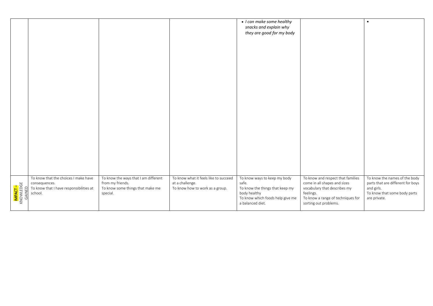|                                              |                                                                                                             |                                                                                                          |                                                                                             | • I can make some healthy<br>snacks and explain why<br>they are good for my body                                                                 |                                                                                                                                                                              | $\bullet$                                                                                                                        |
|----------------------------------------------|-------------------------------------------------------------------------------------------------------------|----------------------------------------------------------------------------------------------------------|---------------------------------------------------------------------------------------------|--------------------------------------------------------------------------------------------------------------------------------------------------|------------------------------------------------------------------------------------------------------------------------------------------------------------------------------|----------------------------------------------------------------------------------------------------------------------------------|
|                                              |                                                                                                             |                                                                                                          |                                                                                             |                                                                                                                                                  |                                                                                                                                                                              |                                                                                                                                  |
|                                              |                                                                                                             |                                                                                                          |                                                                                             |                                                                                                                                                  |                                                                                                                                                                              |                                                                                                                                  |
|                                              |                                                                                                             |                                                                                                          |                                                                                             |                                                                                                                                                  |                                                                                                                                                                              |                                                                                                                                  |
|                                              |                                                                                                             |                                                                                                          |                                                                                             |                                                                                                                                                  |                                                                                                                                                                              |                                                                                                                                  |
|                                              |                                                                                                             |                                                                                                          |                                                                                             |                                                                                                                                                  |                                                                                                                                                                              |                                                                                                                                  |
|                                              |                                                                                                             |                                                                                                          |                                                                                             |                                                                                                                                                  |                                                                                                                                                                              |                                                                                                                                  |
| <mark>impact –</mark><br>Knowledge<br>Gained | To know that the choices I make have<br>consequences.<br>To know that I have responsibilities at<br>school. | To know the ways that I am different<br>from my friends.<br>To know some things that make me<br>special. | To know what it feels like to succeed<br>at a challenge.<br>To know how to work as a group. | To know ways to keep my body<br>safe.<br>To know the things that keep my<br>body healthy<br>To know which foods help give me<br>a balanced diet. | To know and respect that families<br>come in all shapes and sizes<br>vocabulary that describes my<br>feelings.<br>To know a range of techniques for<br>sorting out problems. | To know the names of the body<br>parts that are different for boys<br>and girls.<br>To know that some body parts<br>are private. |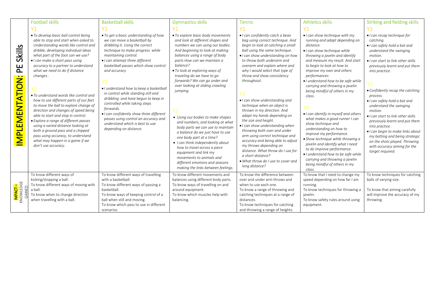|                                               | <b>Football skills</b>                                                                                                                                                                                                                                                                                                                                                                                                                                                                                                                                                                                                                                                                                                                                   | <b>Basketball skills</b>                                                                                                                                                                                                                                                                                                                                                                                                                                                                                                                                                              | <b>Gymnastics skills</b>                                                                                                                                                                                                                                                                                                                                                                                                                                                                                                                                                                                                                                                                                                                                   | <b>Tennis</b>                                                                                                                                                                                                                                                                                                                                                                                                                                                                                                                                                                                                                                                                                                                                                                 | <b>Athletics skills</b>                                                                                                                                                                                                                                                                                                                                                                                                                                                                                                                                                                                                                                                                                                                                                                   | <b>Striking and fielding skills</b>                                                                                                                                                                                                                                                                                                                                                                                                                                                                                                                                                    |
|-----------------------------------------------|----------------------------------------------------------------------------------------------------------------------------------------------------------------------------------------------------------------------------------------------------------------------------------------------------------------------------------------------------------------------------------------------------------------------------------------------------------------------------------------------------------------------------------------------------------------------------------------------------------------------------------------------------------------------------------------------------------------------------------------------------------|---------------------------------------------------------------------------------------------------------------------------------------------------------------------------------------------------------------------------------------------------------------------------------------------------------------------------------------------------------------------------------------------------------------------------------------------------------------------------------------------------------------------------------------------------------------------------------------|------------------------------------------------------------------------------------------------------------------------------------------------------------------------------------------------------------------------------------------------------------------------------------------------------------------------------------------------------------------------------------------------------------------------------------------------------------------------------------------------------------------------------------------------------------------------------------------------------------------------------------------------------------------------------------------------------------------------------------------------------------|-------------------------------------------------------------------------------------------------------------------------------------------------------------------------------------------------------------------------------------------------------------------------------------------------------------------------------------------------------------------------------------------------------------------------------------------------------------------------------------------------------------------------------------------------------------------------------------------------------------------------------------------------------------------------------------------------------------------------------------------------------------------------------|-------------------------------------------------------------------------------------------------------------------------------------------------------------------------------------------------------------------------------------------------------------------------------------------------------------------------------------------------------------------------------------------------------------------------------------------------------------------------------------------------------------------------------------------------------------------------------------------------------------------------------------------------------------------------------------------------------------------------------------------------------------------------------------------|----------------------------------------------------------------------------------------------------------------------------------------------------------------------------------------------------------------------------------------------------------------------------------------------------------------------------------------------------------------------------------------------------------------------------------------------------------------------------------------------------------------------------------------------------------------------------------------|
|                                               | Y <sub>1</sub>                                                                                                                                                                                                                                                                                                                                                                                                                                                                                                                                                                                                                                                                                                                                           |                                                                                                                                                                                                                                                                                                                                                                                                                                                                                                                                                                                       |                                                                                                                                                                                                                                                                                                                                                                                                                                                                                                                                                                                                                                                                                                                                                            | Y <sub>1</sub>                                                                                                                                                                                                                                                                                                                                                                                                                                                                                                                                                                                                                                                                                                                                                                | Y <sub>1</sub>                                                                                                                                                                                                                                                                                                                                                                                                                                                                                                                                                                                                                                                                                                                                                                            |                                                                                                                                                                                                                                                                                                                                                                                                                                                                                                                                                                                        |
| Skills<br>巴<br><b>MPLEMENTATION:</b>          | • To develop basic ball control being<br>able to stop and start when asked to.<br>Understanding words like control and<br>dribble, developing individual ideas<br>what part of the foot can we use?<br>• I can make a short pass using<br>accuracy to a partner to understand<br>what we need to do if distance<br>changes<br>• To understand words like control and<br>how to use different parts of our feet<br>to move the ball to explore change of<br>direction and changes of speed being<br>able to start and stop in control.<br>• Explore a range of different passes<br>using a varied distance looking at<br>both a ground pass and a chipped<br>pass using accuracy, to understand<br>what may happen in a game if we<br>don't use accuracy. | • To get a basic understanding of how<br>we can move a basketball by<br>dribbling it. Using the correct<br>technique to make progress while<br>maintaining control.<br>• I can attempt three different<br>basketball passes which show control<br>and accuracy<br>· I understand how to keep a basketbal<br>in control while standing still and<br>dribbling and have begun to keep in<br>controlled while taking steps<br>forwards.<br>• I can confidently show three different<br>passes using control an accuracy and<br>understand which is best to use<br>depending on distance. | • To explore basic body movements<br>and look at different shapes and<br>numbers we can using our bodies.<br>And beginning to look at making<br>balances using a range of body<br>parts How can we maintain a<br>balance?<br>• To look at exploring ways of<br>traveling do we have to go<br>forwards? We can go under and<br>over looking at sliding crawling<br>jumping.<br>• Using our bodies to make shapes<br>and numbers, and looking at what<br>body parts we can use to maintain<br>a balance do we just have to use<br>one body part at a time?<br>• I can think independently about<br>how to travel across a piece<br>equipment and link my<br>movements to animals and<br>different emotions and seasons<br>making the links between feelings. | • I can confidently catch a bean<br>bag using correct technique. And<br>begin to look at catching a small<br>ball using the same technique.<br>• I can show understanding on how<br>to throw both underarm and<br>overarm and explain where and<br>why I would select that type of<br>throw and show consistency<br>throughout.<br>• I can show understanding and<br>technique when an object is<br>thrown in my direction. And<br>adapt my hands depending on<br>the size and height.<br>• I can show understanding when<br>throwing both over and under<br>arm using correct technique and<br>accuracy and being able to adjust<br>my throws depending on<br>distance. What throw do I use for<br>a short distance?<br>. What throw do I use to cover and<br>long distance? | • I can show technique with my<br>running and adapt depending on<br>distance.<br>• I can show technique while<br>throwing a javelin and identify<br>and measure my result. And start<br>to begin to look at how to<br>improve my own and others<br>performances<br>· I understand how to be safe while<br>carrying and throwing a javelin<br>being mindful of others in my<br>class.<br>Y <sub>2</sub><br>• I can identify in myself and others<br>what makes a good runner I can<br>show technique and<br>understanding on how to<br>improve my performance.<br>• Show technique while throwing a<br>javelin and identify what I need<br>to do improve performance.<br>· I understand how to be safe while<br>carrying and throwing a javelin<br>being mindful of others in my<br>class. | • I can recap technique for<br>catchina.<br>• I can safely hold a bat and<br>understand the swinging<br>motion.<br>• I can start to link other skills<br>previously learnt and put them<br>into practice.<br>• Confidently recap the catching<br>process.<br>• I can safely hold a bat and<br>understand the swinging<br>motion.<br>• I can start to link other skills<br>previously learnt and put them<br>into practice.<br>• I can begin to make links about<br>my batting and being strategic<br>on the shots played. Throwing<br>with accuracy aiming for the<br>target required. |
| <b>IMPACT -</b><br>KNOWLEDGE<br><b>GAINED</b> | To know different ways of<br>kicking/stopping a ball.<br>To know different ways of moving with<br>a ball.<br>To know when to change direction<br>when travelling with a ball.                                                                                                                                                                                                                                                                                                                                                                                                                                                                                                                                                                            | To know different ways of travelling<br>with a basketball.<br>To know different ways of passing a<br>basketball.<br>To know ways of keeping control of a<br>ball when still and moving.<br>To know which pass to use in different<br>scenarios.                                                                                                                                                                                                                                                                                                                                       | To know different movements and<br>balances using different body parts.<br>To know ways of travelling on and<br>around equipment.<br>To know which muscles help with<br>balancing.                                                                                                                                                                                                                                                                                                                                                                                                                                                                                                                                                                         | To know the difference between<br>over and under arm throws and<br>when to use each one.<br>To know a range of throwing and<br>catching techniques at a range of<br>distances.<br>To know techniques for catching<br>and throwing a range of heights.                                                                                                                                                                                                                                                                                                                                                                                                                                                                                                                         | To know that I need to change my<br>speed depending on how far I am<br>running.<br>To know techniques for throwing a<br>javelin.<br>To know safety rules around using<br>equipment.                                                                                                                                                                                                                                                                                                                                                                                                                                                                                                                                                                                                       | To know techniques for catching<br>balls of varying size.<br>To know that aiming carefully<br>will improve the accuracy of my<br>throwing.                                                                                                                                                                                                                                                                                                                                                                                                                                             |